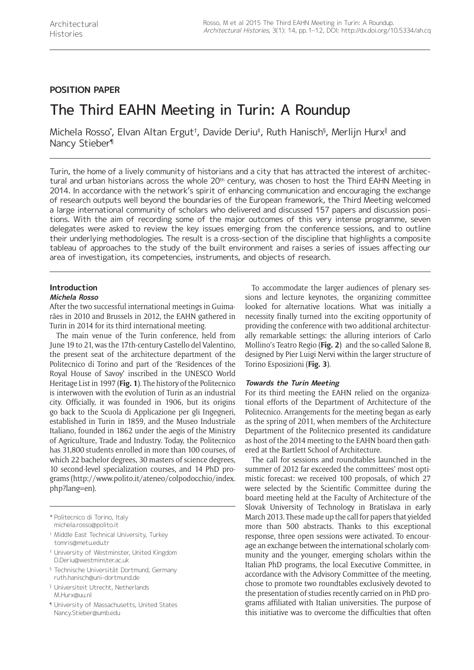# **POSITION PAPER**

# The Third EAHN Meeting in Turin: A Roundup

Michela Rosso $^\ast$ , Elvan Altan Ergut†, Davide Deriu‡, Ruth Hanisch§, Merlijn Hurx∥ and Nancy Stieber¶

Turin, the home of a lively community of historians and a city that has attracted the interest of architectural and urban historians across the whole 20<sup>th</sup> century, was chosen to host the Third EAHN Meeting in 2014. In accordance with the network's spirit of enhancing communication and encouraging the exchange of research outputs well beyond the boundaries of the European framework, the Third Meeting welcomed a large international community of scholars who delivered and discussed 157 papers and discussion positions. With the aim of recording some of the major outcomes of this very intense programme, seven delegates were asked to review the key issues emerging from the conference sessions, and to outline their underlying methodologies. The result is a cross-section of the discipline that highlights a composite tableau of approaches to the study of the built environment and raises a series of issues affecting our area of investigation, its competencies, instruments, and objects of research.

# **Introduction**

#### **Michela Rosso**

After the two successful international meetings in Guimarães in 2010 and Brussels in 2012, the EAHN gathered in Turin in 2014 for its third international meeting.

The main venue of the Turin conference, held from June 19 to 21, was the 17th-century Castello del Valentino, the present seat of the architecture department of the Politecnico di Torino and part of the 'Residences of the Royal House of Savoy' inscribed in the UNESCO World Heritage List in 1997 (**Fig. 1**). The history of the Politecnico is interwoven with the evolution of Turin as an industrial city. Officially, it was founded in 1906, but its origins go back to the Scuola di Applicazione per gli Ingegneri, established in Turin in 1859, and the Museo Industriale Italiano, founded in 1862 under the aegis of the Ministry of Agriculture, Trade and Industry. Today, the Politecnico has 31,800 students enrolled in more than 100 courses, of which 22 bachelor degrees, 30 masters of science degrees, 10 second-level specialization courses, and 14 PhD programs ([http://www.polito.it/ateneo/colpodocchio/index.](http://www.polito.it/ateneo/colpodocchio/index.php?lang=en) [php?lang=en](http://www.polito.it/ateneo/colpodocchio/index.php?lang=en)).

- † Middle East Technical University, Turkey [tomris@metu.edu.tr](mailto:tomris@metu.edu.tr)
- ‡ University of Westminster, United Kingdom [D.Deriu@westminster.ac.uk](mailto:D.Deriu@westminster.ac.uk)
- § Technische Universität Dortmund, Germany [ruth.hanisch@uni-dortmund.de](mailto:ruth.hanisch@uni-dortmund.de)
- ‖ Universiteit Utrecht, Netherlands [M.Hurx@uu.nl](mailto:M.Hurx@uu.nl)
- ¶ University of Massachusetts, United States [Nancy.Stieber@umb.edu](mailto:Nancy.Stieber@umb.edu)

To accommodate the larger audiences of plenary sessions and lecture keynotes, the organizing committee looked for alternative locations. What was initially a necessity finally turned into the exciting opportunity of providing the conference with two additional architecturally remarkable settings: the alluring interiors of Carlo Mollino's Teatro Regio (**Fig. 2**) and the so-called Salone B, designed by Pier Luigi Nervi within the larger structure of Torino Esposizioni (**Fig. 3**).

# **Towards the Turin Meeting**

For its third meeting the EAHN relied on the organizational efforts of the Department of Architecture of the Politecnico. Arrangements for the meeting began as early as the spring of 2011, when members of the Architecture Department of the Politecnico presented its candidature as host of the 2014 meeting to the EAHN board then gathered at the Bartlett School of Architecture.

The call for sessions and roundtables launched in the summer of 2012 far exceeded the committees' most optimistic forecast: we received 100 proposals, of which 27 were selected by the Scientific Committee during the board meeting held at the Faculty of Architecture of the Slovak University of Technology in Bratislava in early March 2013. These made up the call for papers that yielded more than 500 abstracts. Thanks to this exceptional response, three open sessions were activated. To encourage an exchange between the international scholarly community and the younger, emerging scholars within the Italian PhD programs, the local Executive Committee, in accordance with the Advisory Committee of the meeting, chose to promote two roundtables exclusively devoted to the presentation of studies recently carried on in PhD programs affiliated with Italian universities. The purpose of this initiative was to overcome the difficulties that often

<sup>\*</sup> Politecnico di Torino, Italy [michela.rosso@polito.it](mailto:michela.rosso@polito.it)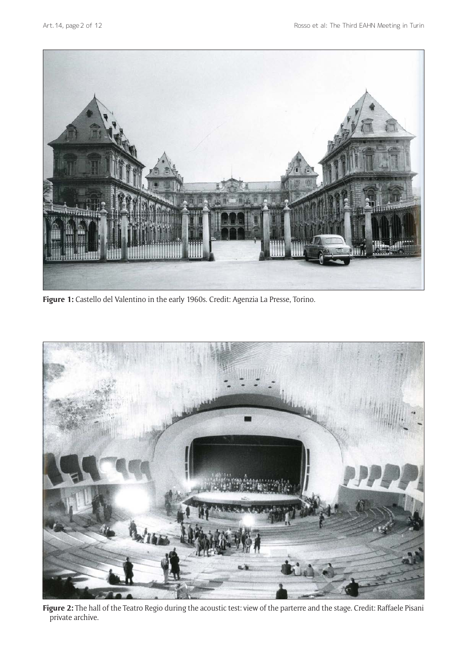

**Figure 1:** Castello del Valentino in the early 1960s. Credit: Agenzia La Presse, Torino.



**Figure 2:** The hall of the Teatro Regio during the acoustic test: view of the parterre and the stage. Credit: Raffaele Pisani private archive.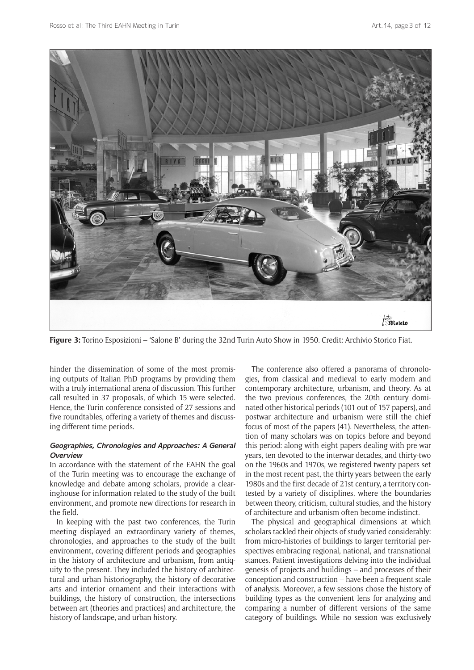

**Figure 3:** Torino Esposizioni – 'Salone B' during the 32nd Turin Auto Show in 1950. Credit: Archivio Storico Fiat.

hinder the dissemination of some of the most promising outputs of Italian PhD programs by providing them with a truly international arena of discussion. This further call resulted in 37 proposals, of which 15 were selected. Hence, the Turin conference consisted of 27 sessions and five roundtables, offering a variety of themes and discussing different time periods.

# **Geographies, Chronologies and Approaches: A General Overview**

In accordance with the statement of the EAHN the goal of the Turin meeting was to encourage the exchange of knowledge and debate among scholars, provide a clearinghouse for information related to the study of the built environment, and promote new directions for research in the field.

In keeping with the past two conferences, the Turin meeting displayed an extraordinary variety of themes, chronologies, and approaches to the study of the built environment, covering different periods and geographies in the history of architecture and urbanism, from antiquity to the present. They included the history of architectural and urban historiography, the history of decorative arts and interior ornament and their interactions with buildings, the history of construction, the intersections between art (theories and practices) and architecture, the history of landscape, and urban history.

The conference also offered a panorama of chronologies, from classical and medieval to early modern and contemporary architecture, urbanism, and theory. As at the two previous conferences, the 20th century dominated other historical periods (101 out of 157 papers), and postwar architecture and urbanism were still the chief focus of most of the papers (41). Nevertheless, the attention of many scholars was on topics before and beyond this period: along with eight papers dealing with pre-war years, ten devoted to the interwar decades, and thirty-two on the 1960s and 1970s, we registered twenty papers set in the most recent past, the thirty years between the early 1980s and the first decade of 21st century, a territory contested by a variety of disciplines, where the boundaries between theory, criticism, cultural studies, and the history of architecture and urbanism often become indistinct.

The physical and geographical dimensions at which scholars tackled their objects of study varied considerably: from micro-histories of buildings to larger territorial perspectives embracing regional, national, and transnational stances. Patient investigations delving into the individual genesis of projects and buildings – and processes of their conception and construction – have been a frequent scale of analysis. Moreover, a few sessions chose the history of building types as the convenient lens for analyzing and comparing a number of different versions of the same category of buildings. While no session was exclusively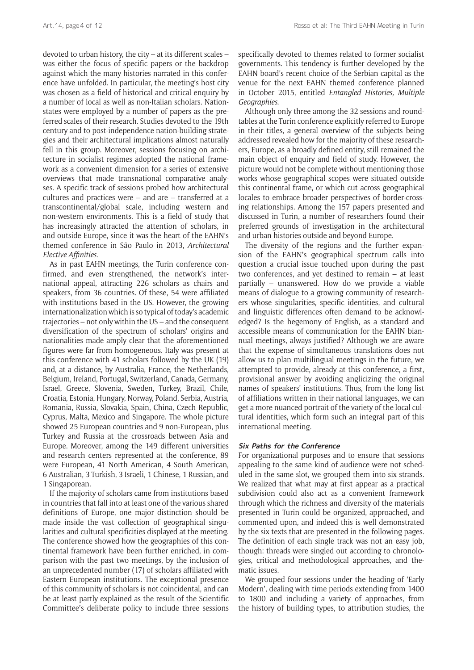devoted to urban history, the city – at its different scales – was either the focus of specific papers or the backdrop against which the many histories narrated in this conference have unfolded. In particular, the meeting's host city was chosen as a field of historical and critical enquiry by a number of local as well as non-Italian scholars. Nationstates were employed by a number of papers as the preferred scales of their research. Studies devoted to the 19th century and to post-independence nation-building strategies and their architectural implications almost naturally fell in this group. Moreover, sessions focusing on architecture in socialist regimes adopted the national framework as a convenient dimension for a series of extensive overviews that made transnational comparative analyses. A specific track of sessions probed how architectural cultures and practices were – and are – transferred at a transcontinental/global scale, including western and non-western environments. This is a field of study that has increasingly attracted the attention of scholars, in and outside Europe, since it was the heart of the EAHN's themed conference in São Paulo in 2013, *[Architectural](http://www.fau.usp.br/eahn2013/) [Elective Affinities](http://www.fau.usp.br/eahn2013/)*.

As in past EAHN meetings, the Turin conference confirmed, and even strengthened, the network's international appeal, attracting 226 scholars as chairs and speakers, from 36 countries. Of these, 54 were affiliated with institutions based in the US. However, the growing internationalization which is so typical of today's academic trajectories – not only within the US – and the consequent diversification of the spectrum of scholars' origins and nationalities made amply clear that the aforementioned figures were far from homogeneous. Italy was present at this conference with 41 scholars followed by the UK (19) and, at a distance, by Australia, France, the Netherlands, Belgium, Ireland, Portugal, Switzerland, Canada, Germany, Israel, Greece, Slovenia, Sweden, Turkey, Brazil, Chile, Croatia, Estonia, Hungary, Norway, Poland, Serbia, Austria, Romania, Russia, Slovakia, Spain, China, Czech Republic, Cyprus, Malta, Mexico and Singapore. The whole picture showed 25 European countries and 9 non-European, plus Turkey and Russia at the crossroads between Asia and Europe. Moreover, among the 149 different universities and research centers represented at the conference, 89 were European, 41 North American, 4 South American, 6 Australian, 3 Turkish, 3 Israeli, 1 Chinese, 1 Russian, and 1 Singaporean.

If the majority of scholars came from institutions based in countries that fall into at least one of the various shared definitions of Europe, one major distinction should be made inside the vast collection of geographical singularities and cultural specificities displayed at the meeting. The conference showed how the geographies of this continental framework have been further enriched, in comparison with the past two meetings, by the inclusion of an unprecedented number (17) of scholars affiliated with Eastern European institutions. The exceptional presence of this community of scholars is not coincidental, and can be at least partly explained as the result of the Scientific Committee's deliberate policy to include three sessions specifically devoted to themes related to former socialist governments. This tendency is further developed by the EAHN board's recent choice of the Serbian capital as the venue for the next EAHN themed conference planned in October 2015, entitled *[Entangled Histories,](http://www.eahn2015belgrade.org) [Multiple](http://www.eahn2015belgrade.org)  [Geographies](http://www.eahn2015belgrade.org)*.

Although only three among the 32 sessions and roundtables at the Turin conference explicitly referred to Europe in their titles, a general overview of the subjects being addressed revealed how for the majority of these researchers, Europe, as a broadly defined entity, still remained the main object of enquiry and field of study. However, the picture would not be complete without mentioning those works whose geographical scopes were situated outside this continental frame, or which cut across geographical locales to embrace broader perspectives of border-crossing relationships. Among the 157 papers presented and discussed in Turin, a number of researchers found their preferred grounds of investigation in the architectural and urban histories outside and beyond Europe.

The diversity of the regions and the further expansion of the EAHN's geographical spectrum calls into question a crucial issue touched upon during the past two conferences, and yet destined to remain – at least partially – unanswered. How do we provide a viable means of dialogue to a growing community of researchers whose singularities, specific identities, and cultural and linguistic differences often demand to be acknowledged? Is the hegemony of English, as a standard and accessible means of communication for the EAHN biannual meetings, always justified? Although we are aware that the expense of simultaneous translations does not allow us to plan multilingual meetings in the future, we attempted to provide, already at this conference, a first, provisional answer by avoiding anglicizing the original names of speakers' institutions. Thus, from the long list of affiliations written in their national languages, we can get a more nuanced portrait of the variety of the local cultural identities, which form such an integral part of this international meeting.

#### **Six Paths for the Conference**

For organizational purposes and to ensure that sessions appealing to the same kind of audience were not scheduled in the same slot, we grouped them into six strands. We realized that what may at first appear as a practical subdivision could also act as a convenient framework through which the richness and diversity of the materials presented in Turin could be organized, approached, and commented upon, and indeed this is well demonstrated by the six texts that are presented in the following pages. The definition of each single track was not an easy job, though: threads were singled out according to chronologies, critical and methodological approaches, and thematic issues.

We grouped four sessions under the heading of 'Early Modern', dealing with time periods extending from 1400 to 1800 and including a variety of approaches, from the history of building types, to attribution studies, the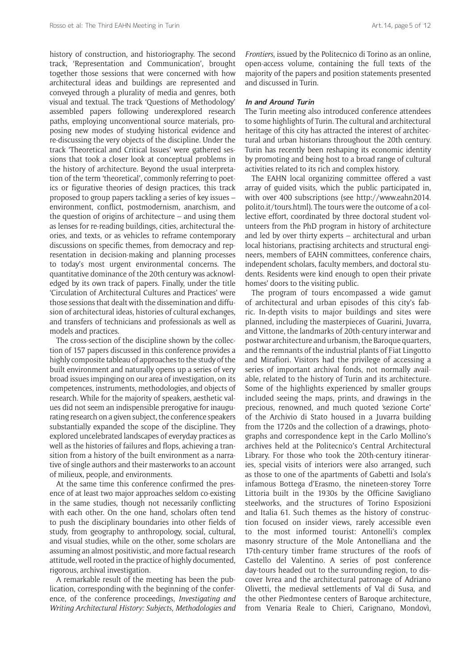history of construction, and historiography. The second track, 'Representation and Communication', brought together those sessions that were concerned with how architectural ideas and buildings are represented and conveyed through a plurality of media and genres, both visual and textual. The track 'Questions of Methodology' assembled papers following underexplored research paths, employing unconventional source materials, proposing new modes of studying historical evidence and re-discussing the very objects of the discipline. Under the track 'Theoretical and Critical Issues' were gathered sessions that took a closer look at conceptual problems in the history of architecture. Beyond the usual interpretation of the term 'theoretical', commonly referring to poetics or figurative theories of design practices, this track proposed to group papers tackling a series of key issues – environment, conflict, postmodernism, anarchism, and the question of origins of architecture – and using them as lenses for re-reading buildings, cities, architectural theories, and texts, or as vehicles to reframe contemporary discussions on specific themes, from democracy and representation in decision-making and planning processes to today's most urgent environmental concerns. The quantitative dominance of the 20th century was acknowledged by its own track of papers. Finally, under the title 'Circulation of Architectural Cultures and Practices' were those sessions that dealt with the dissemination and diffusion of architectural ideas, histories of cultural exchanges, and transfers of technicians and professionals as well as models and practices.

The cross-section of the discipline shown by the collection of 157 papers discussed in this conference provides a highly composite tableau of approaches to the study of the built environment and naturally opens up a series of very broad issues impinging on our area of investigation, on its competences, instruments, methodologies, and objects of research. While for the majority of speakers, aesthetic values did not seem an indispensible prerogative for inaugurating research on a given subject, the conference speakers substantially expanded the scope of the discipline. They explored uncelebrated landscapes of everyday practices as well as the histories of failures and flops, achieving a transition from a history of the built environment as a narrative of single authors and their masterworks to an account of milieux, people, and environments.

At the same time this conference confirmed the presence of at least two major approaches seldom co-existing in the same studies, though not necessarily conflicting with each other. On the one hand, scholars often tend to push the disciplinary boundaries into other fields of study, from geography to anthropology, social, cultural, and visual studies, while on the other, some scholars are assuming an almost positivistic, and more factual research attitude, well rooted in the practice of highly documented, rigorous, archival investigation.

A remarkable result of the meeting has been the publication, corresponding with the beginning of the conference, of the conference proceedings, *[Investigating and](http://www.eahn2014.polito.it)  [Writing Architectural History: Subjects, Methodologies and](http://www.eahn2014.polito.it)*  *[Frontiers](http://www.eahn2014.polito.it)*, issued by the Politecnico di Torino as an online, open-access volume, containing the full texts of the majority of the papers and position statements presented and discussed in Turin.

# **In and Around Turin**

The Turin meeting also introduced conference attendees to some highlights of Turin. The cultural and architectural heritage of this city has attracted the interest of architectural and urban historians throughout the 20th century. Turin has recently been reshaping its economic identity by promoting and being host to a broad range of cultural activities related to its rich and complex history.

The EAHN local organizing committee offered a vast array of guided visits, which the public participated in, with over 400 subscriptions (see [http://www.eahn2014.](http://www.eahn2014.polito.it/tours.html) [polito.it/tours.html\)](http://www.eahn2014.polito.it/tours.html). The tours were the outcome of a collective effort, coordinated by three doctoral student volunteers from the PhD program in history of architecture and led by over thirty experts – architectural and urban local historians, practising architects and structural engineers, members of EAHN committees, conference chairs, independent scholars, faculty members, and doctoral students. Residents were kind enough to open their private homes' doors to the visiting public.

The program of tours encompassed a wide gamut of architectural and urban episodes of this city's fabric. In-depth visits to major buildings and sites were planned, including the masterpieces of Guarini, Juvarra, and Vittone, the landmarks of 20th-century interwar and postwar architecture and urbanism, the Baroque quarters, and the remnants of the industrial plants of Fiat Lingotto and Mirafiori. Visitors had the privilege of accessing a series of important archival fonds, not normally available, related to the history of Turin and its architecture. Some of the highlights experienced by smaller groups included seeing the maps, prints, and drawings in the precious, renowned, and much quoted 'sezione Corte' of the Archivio di Stato housed in a Juvarra building from the 1720s and the collection of a drawings, photographs and correspondence kept in the Carlo Mollino's archives held at the Politecnico's Central Architectural Library. For those who took the 20th-century itineraries, special visits of interiors were also arranged, such as those to one of the apartments of Gabetti and Isola's infamous Bottega d'Erasmo, the nineteen-storey Torre Littoria built in the 1930s by the Officine Savigliano steelworks, and the structures of Torino Esposizioni and Italia 61. Such themes as the history of construction focused on insider views, rarely accessible even to the most informed tourist: Antonelli's complex masonry structure of the Mole Antonelliana and the 17th-century timber frame structures of the roofs of Castello del Valentino. A series of post conference day-tours headed out to the surrounding region, to discover Ivrea and the architectural patronage of Adriano Olivetti, the medieval settlements of Val di Susa, and the other Piedmontese centers of Baroque architecture, from Venaria Reale to Chieri, Carignano, Mondovì,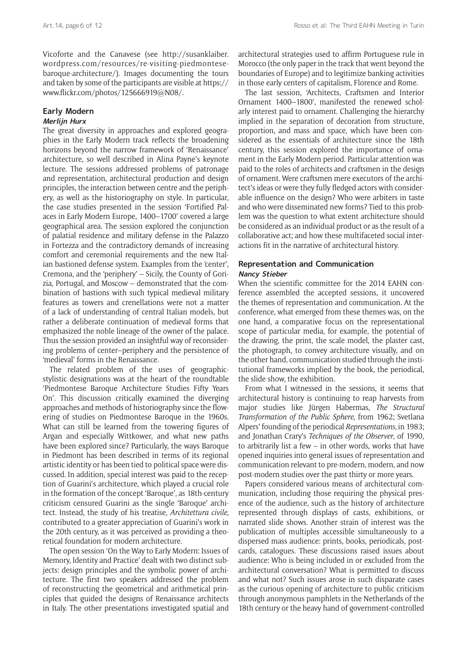Vicoforte and the Canavese (see [http://susanklaiber.](http://susanklaiber.wordpress.com/resources/re-visiting-piedmontese-baroque-architecture/) [wordpress.com/resources/re-visiting-piedmontese](http://susanklaiber.wordpress.com/resources/re-visiting-piedmontese-baroque-architecture/)[baroque-architecture/\)](http://susanklaiber.wordpress.com/resources/re-visiting-piedmontese-baroque-architecture/). Images documenting the tours and taken by some of the participants are visible at [https://](https://www.flickr.com/photos/125666919@N08/) [www.flickr.com/photos/125666919@N08/.](https://www.flickr.com/photos/125666919@N08/)

# **Early Modern**

# **Merlijn Hurx**

The great diversity in approaches and explored geographies in the Early Modern track reflects the broadening horizons beyond the narrow framework of 'Renaissance' architecture, so well described in Alina Payne's keynote lecture. The sessions addressed problems of patronage and representation, architectural production and design principles, the interaction between centre and the periphery, as well as the historiography on style. In particular, the case studies presented in the session 'Fortified Palaces in Early Modern Europe, 1400–1700' covered a large geographical area. The session explored the conjunction of palatial residence and military defense in the Palazzo in Fortezza and the contradictory demands of increasing comfort and ceremonial requirements and the new Italian bastioned defense system. Examples from the 'center', Cremona, and the 'periphery' – Sicily, the County of Gorizia, Portugal, and Moscow – demonstrated that the combination of bastions with such typical medieval military features as towers and crenellations were not a matter of a lack of understanding of central Italian models, but rather a deliberate continuation of medieval forms that emphasized the noble lineage of the owner of the palace. Thus the session provided an insightful way of reconsidering problems of center–periphery and the persistence of 'medieval' forms in the Renaissance.

The related problem of the uses of geographicstylistic designations was at the heart of the roundtable 'Piedmontese Baroque Architecture Studies Fifty Years On'. This discussion critically examined the diverging approaches and methods of historiography since the flowering of studies on Piedmontese Baroque in the 1960s. What can still be learned from the towering figures of Argan and especially Wittkower, and what new paths have been explored since? Particularly, the ways Baroque in Piedmont has been described in terms of its regional artistic identity or has been tied to political space were discussed. In addition, special interest was paid to the reception of Guarini's architecture, which played a crucial role in the formation of the concept 'Baroque', as 18th-century criticism censured Guarini as the single 'Baroque' architect. Instead, the study of his treatise, *Architettura civile*, contributed to a greater appreciation of Guarini's work in the 20th century, as it was perceived as providing a theoretical foundation for modern architecture.

The open session 'On the Way to Early Modern: Issues of Memory, Identity and Practice' dealt with two distinct subjects: design principles and the symbolic power of architecture. The first two speakers addressed the problem of reconstructing the geometrical and arithmetical principles that guided the designs of Renaissance architects in Italy. The other presentations investigated spatial and architectural strategies used to affirm Portuguese rule in Morocco (the only paper in the track that went beyond the boundaries of Europe) and to legitimize banking activities in those early centers of capitalism, Florence and Rome.

The last session, 'Architects, Craftsmen and Interior Ornament 1400–1800', manifested the renewed scholarly interest paid to ornament. Challenging the hierarchy implied in the separation of decoration from structure, proportion, and mass and space, which have been considered as the essentials of architecture since the 18th century, this session explored the importance of ornament in the Early Modern period. Particular attention was paid to the roles of architects and craftsmen in the design of ornament. Were craftsmen mere executors of the architect's ideas or were they fully fledged actors with considerable influence on the design? Who were arbiters in taste and who were disseminated new forms? Tied to this problem was the question to what extent architecture should be considered as an individual product or as the result of a collaborative act; and how these multifaceted social interactions fit in the narrative of architectural history.

# **Representation and Communication Nancy Stieber**

When the scientific committee for the 2014 EAHN conference assembled the accepted sessions, it uncovered the themes of representation and communication. At the conference, what emerged from these themes was, on the one hand, a comparative focus on the representational scope of particular media, for example, the potential of the drawing, the print, the scale model, the plaster cast, the photograph, to convey architecture visually, and on the other hand, communication studied through the institutional frameworks implied by the book, the periodical, the slide show, the exhibition.

From what I witnessed in the sessions, it seems that architectural history is continuing to reap harvests from major studies like Jürgen Habermas, *The Structural Transformation of the Public Sphere*, from 1962; Svetlana Alpers' founding of the periodical *Representations*, in 1983; and Jonathan Crary's *Techniques of the Observer*, of 1990, to arbitrarily list a few – in other words, works that have opened inquiries into general issues of representation and communication relevant to pre-modern, modern, and now post-modern studies over the past thirty or more years.

Papers considered various means of architectural communication, including those requiring the physical presence of the audience, such as the history of architecture represented through displays of casts, exhibitions, or narrated slide shows. Another strain of interest was the publication of multiples accessible simultaneously to a dispersed mass audience: prints, books, periodicals, postcards, catalogues. These discussions raised issues about audience: Who is being included in or excluded from the architectural conversation? What is permitted to discuss and what not? Such issues arose in such disparate cases as the curious opening of architecture to public criticism through anonymous pamphlets in the Netherlands of the 18th century or the heavy hand of government-controlled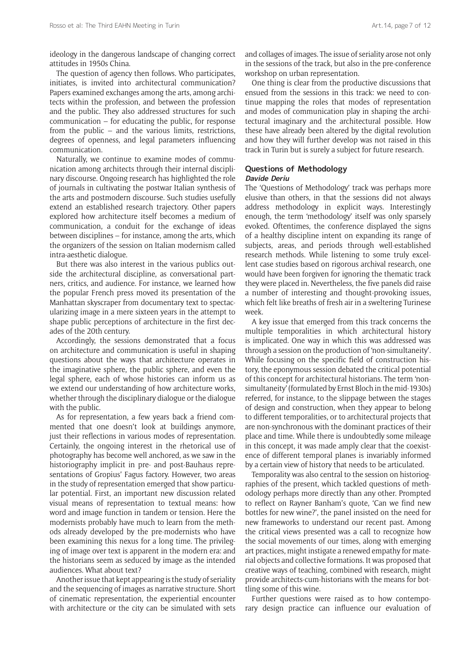ideology in the dangerous landscape of changing correct attitudes in 1950s China.

The question of agency then follows. Who participates, initiates, is invited into architectural communication? Papers examined exchanges among the arts, among architects within the profession, and between the profession and the public. They also addressed structures for such communication – for educating the public, for response from the public – and the various limits, restrictions, degrees of openness, and legal parameters influencing communication.

Naturally, we continue to examine modes of communication among architects through their internal disciplinary discourse. Ongoing research has highlighted the role of journals in cultivating the postwar Italian synthesis of the arts and postmodern discourse. Such studies usefully extend an established research trajectory. Other papers explored how architecture itself becomes a medium of communication, a conduit for the exchange of ideas between disciplines – for instance, among the arts, which the organizers of the session on Italian modernism called intra-aesthetic dialogue.

But there was also interest in the various publics outside the architectural discipline, as conversational partners, critics, and audience. For instance, we learned how the popular French press moved its presentation of the Manhattan skyscraper from documentary text to spectacularizing image in a mere sixteen years in the attempt to shape public perceptions of architecture in the first decades of the 20th century.

Accordingly, the sessions demonstrated that a focus on architecture and communication is useful in shaping questions about the ways that architecture operates in the imaginative sphere, the public sphere, and even the legal sphere, each of whose histories can inform us as we extend our understanding of how architecture works, whether through the disciplinary dialogue or the dialogue with the public.

As for representation, a few years back a friend commented that one doesn't look at buildings anymore, just their reflections in various modes of representation. Certainly, the ongoing interest in the rhetorical use of photography has become well anchored, as we saw in the historiography implicit in pre- and post-Bauhaus representations of Gropius' Fagus factory. However, two areas in the study of representation emerged that show particular potential. First, an important new discussion related visual means of representation to textual means: how word and image function in tandem or tension. Here the modernists probably have much to learn from the methods already developed by the pre-modernists who have been examining this nexus for a long time. The privileging of image over text is apparent in the modern era: and the historians seem as seduced by image as the intended audiences. What about text?

Another issue that kept appearing is the study of seriality and the sequencing of images as narrative structure. Short of cinematic representation, the experiential encounter with architecture or the city can be simulated with sets and collages of images. The issue of seriality arose not only in the sessions of the track, but also in the pre-conference workshop on urban representation.

One thing is clear from the productive discussions that ensued from the sessions in this track: we need to continue mapping the roles that modes of representation and modes of communication play in shaping the architectural imaginary and the architectural possible. How these have already been altered by the digital revolution and how they will further develop was not raised in this track in Turin but is surely a subject for future research.

#### **Questions of Methodology Davide Deriu**

The 'Questions of Methodology' track was perhaps more elusive than others, in that the sessions did not always address methodology in explicit ways. Interestingly enough, the term 'methodology' itself was only sparsely evoked. Oftentimes, the conference displayed the signs of a healthy discipline intent on expanding its range of subjects, areas, and periods through well-established research methods. While listening to some truly excellent case studies based on rigorous archival research, one would have been forgiven for ignoring the thematic track they were placed in. Nevertheless, the five panels did raise a number of interesting and thought-provoking issues, which felt like breaths of fresh air in a sweltering Turinese week.

A key issue that emerged from this track concerns the multiple temporalities in which architectural history is implicated. One way in which this was addressed was through a session on the production of 'non-simultaneity'. While focusing on the specific field of construction history, the eponymous session debated the critical potential of this concept for architectural historians. The term 'nonsimultaneity' (formulated by Ernst Bloch in the mid-1930s) referred, for instance, to the slippage between the stages of design and construction, when they appear to belong to different temporalities, or to architectural projects that are non-synchronous with the dominant practices of their place and time. While there is undoubtedly some mileage in this concept, it was made amply clear that the coexistence of different temporal planes is invariably informed by a certain view of history that needs to be articulated.

Temporality was also central to the session on historiographies of the present, which tackled questions of methodology perhaps more directly than any other. Prompted to reflect on Rayner Banham's quote, 'Can we find new bottles for new wine?', the panel insisted on the need for new frameworks to understand our recent past. Among the critical views presented was a call to recognize how the social movements of our times, along with emerging art practices, might instigate a renewed empathy for material objects and collective formations. It was proposed that creative ways of teaching, combined with research, might provide architects-cum-historians with the means for bottling some of this wine.

Further questions were raised as to how contemporary design practice can influence our evaluation of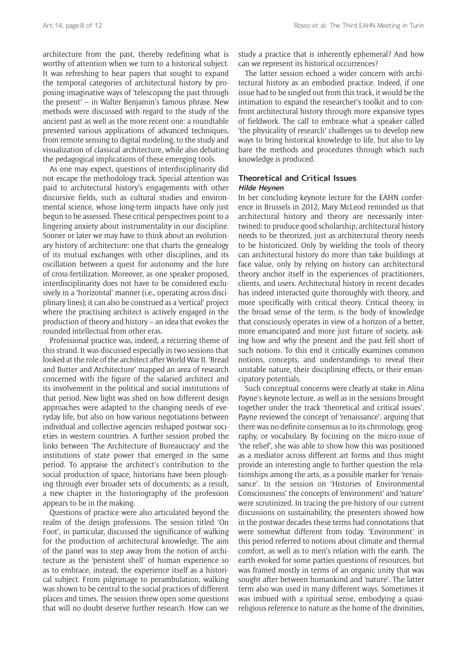architecture from the past, thereby redefining what is worthy of attention when we turn to a historical subject. It was refreshing to hear papers that sought to expand the temporal categories of architectural history by proposing imaginative ways of 'telescoping the past through the present' – in Walter Benjamin's famous phrase. New methods were discussed with regard to the study of the ancient past as well as the more recent one: a roundtable presented various applications of advanced techniques, from remote sensing to digital modeling, to the study and visualization of classical architecture, while also debating the pedagogical implications of these emerging tools.

As one may expect, questions of interdisciplinarity did not escape the methodology track. Special attention was paid to architectural history's engagements with other discursive fields, such as cultural studies and environmental science, whose long-term impacts have only just begun to be assessed. These critical perspectives point to a lingering anxiety about instrumentality in our discipline. Sooner or later we may have to think about an evolutionary history of architecture: one that charts the genealogy of its mutual exchanges with other disciplines, and its oscillation between a quest for autonomy and the lure of cross-fertilization. Moreover, as one speaker proposed, interdisciplinarity does not have to be considered exclusively in a 'horizontal' manner (i.e., operating across disciplinary lines); it can also be construed as a 'vertical' project where the practising architect is actively engaged in the production of theory and history – an idea that evokes the rounded intellectual from other eras.

Professional practice was, indeed, a recurring theme of this strand. It was discussed especially in two sessions that looked at the role of the architect after World War II. 'Bread and Butter and Architecture' mapped an area of research concerned with the figure of the salaried architect and its involvement in the political and social institutions of that period. New light was shed on how different design approaches were adapted to the changing needs of everyday life, but also on how various negotiations between individual and collective agencies reshaped postwar societies in western countries. A further session probed the links between 'The Architecture of Bureaucracy' and the institutions of state power that emerged in the same period. To appraise the architect's contribution to the social production of space, historians have been ploughing through ever broader sets of documents; as a result, a new chapter in the historiography of the profession appears to be in the making.

Questions of practice were also articulated beyond the realm of the design professions. The session titled 'On Foot', in particular, discussed the significance of walking for the production of architectural knowledge. The aim of the panel was to step away from the notion of architecture as the 'persistent shell' of human experience so as to embrace, instead, the experience itself as a historical subject. From pilgrimage to perambulation, walking was shown to be central to the social practices of different places and times. The session threw open some questions that will no doubt deserve further research. How can we

study a practice that is inherently ephemeral? And how can we represent its historical occurrences?

The latter session echoed a wider concern with architectural history as an embodied practice. Indeed, if one issue had to be singled out from this track, it would be the intimation to expand the researcher's toolkit and to confront architectural history through more expansive types of fieldwork. The call to embrace what a speaker called 'the physicality of research' challenges us to develop new ways to bring historical knowledge to life, but also to lay bare the methods and procedures through which such knowledge is produced.

# **Theoretical and Critical Issues Hilde Heynen**

In her concluding keynote lecture for the EAHN conference in Brussels in 2012, Mary McLeod reminded us that architectural history and theory are necessarily intertwined: to produce good scholarship, architectural history needs to be theorized, just as architectural theory needs to be historicized. Only by wielding the tools of theory can architectural history do more than take buildings at face value, only by relying on history can architectural theory anchor itself in the experiences of practitioners, clients, and users. Architectural history in recent decades has indeed interacted quite thoroughly with theory, and more specifically with critical theory. Critical theory, in the broad sense of the term, is the body of knowledge that consciously operates in view of a horizon of a better, more emancipated and more just future of society, asking how and why the present and the past fell short of such notions. To this end it critically examines common notions, concepts, and understandings to reveal their unstable nature, their disciplining effects, or their emancipatory potentials.

Such conceptual concerns were clearly at stake in Alina Payne's keynote lecture, as well as in the sessions brought together under the track 'theoretical and critical issues'. Payne reviewed the concept of 'renaissance', arguing that there was no definite consensus as to its chronology, geography, or vocabulary. By focusing on the micro-issue of 'the relief', she was able to show how this was positioned as a mediator across different art forms and thus might provide an interesting angle to further question the relationships among the arts, as a possible marker for 'renaissance'. In the session on 'Histories of Environmental Consciousness' the concepts of 'environment' and 'nature' were scrutinized. In tracing the pre-history of our current discussions on sustainability, the presenters showed how in the postwar decades these terms had connotations that were somewhat different from today. 'Environment' in this period referred to notions about climate and thermal comfort, as well as to men's relation with the earth. The earth evoked for some parties questions of resources, but was framed mostly in terms of an organic unity that was sought after between humankind and 'nature'. The latter term also was used in many different ways. Sometimes it was imbued with a spiritual sense, embodying a quasireligious reference to nature as the home of the divinities,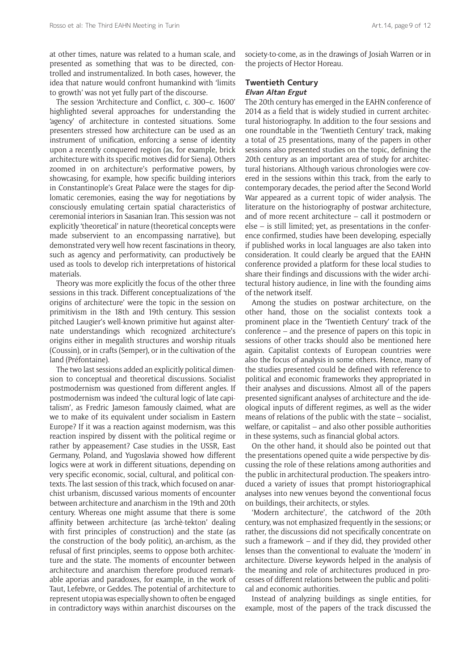at other times, nature was related to a human scale, and presented as something that was to be directed, controlled and instrumentalized. In both cases, however, the idea that nature would confront humankind with 'limits to growth' was not yet fully part of the discourse.

The session 'Architecture and Conflict, c. 300–c. 1600' highlighted several approaches for understanding the 'agency' of architecture in contested situations. Some presenters stressed how architecture can be used as an instrument of unification, enforcing a sense of identity upon a recently conquered region (as, for example, brick architecture with its specific motives did for Siena). Others zoomed in on architecture's performative powers, by showcasing, for example, how specific building interiors in Constantinople's Great Palace were the stages for diplomatic ceremonies, easing the way for negotiations by consciously emulating certain spatial characteristics of ceremonial interiors in Sasanian Iran. This session was not explicitly 'theoretical' in nature (theoretical concepts were made subservient to an encompassing narrative), but demonstrated very well how recent fascinations in theory, such as agency and performativity, can productively be used as tools to develop rich interpretations of historical materials.

Theory was more explicitly the focus of the other three sessions in this track. Different conceptualizations of 'the origins of architecture' were the topic in the session on primitivism in the 18th and 19th century. This session pitched Laugier's well-known primitive hut against alternate understandings which recognized architecture's origins either in megalith structures and worship rituals (Coussin), or in crafts (Semper), or in the cultivation of the land (Préfontaine).

The two last sessions added an explicitly political dimension to conceptual and theoretical discussions. Socialist postmodernism was questioned from different angles. If postmodernism was indeed 'the cultural logic of late capitalism', as Fredric Jameson famously claimed, what are we to make of its equivalent under socialism in Eastern Europe? If it was a reaction against modernism, was this reaction inspired by dissent with the political regime or rather by appeasement? Case studies in the USSR, East Germany, Poland, and Yugoslavia showed how different logics were at work in different situations, depending on very specific economic, social, cultural, and political contexts. The last session of this track, which focused on anarchist urbanism, discussed various moments of encounter between architecture and anarchism in the 19th and 20th century. Whereas one might assume that there is some affinity between architecture (as 'archè-tekton' dealing with first principles of construction) and the state (as the construction of the body politic), an-archism, as the refusal of first principles, seems to oppose both architecture and the state. The moments of encounter between architecture and anarchism therefore produced remarkable aporias and paradoxes, for example, in the work of Taut, Lefebvre, or Geddes. The potential of architecture to represent utopia was especially shown to often be engaged in contradictory ways within anarchist discourses on the

society-to-come, as in the drawings of Josiah Warren or in the projects of Hector Horeau.

#### **Twentieth Century Elvan Altan Ergut**

The 20th century has emerged in the EAHN conference of 2014 as a field that is widely studied in current architectural historiography. In addition to the four sessions and one roundtable in the 'Twentieth Century' track, making a total of 25 presentations, many of the papers in other sessions also presented studies on the topic, defining the 20th century as an important area of study for architectural historians. Although various chronologies were covered in the sessions within this track, from the early to contemporary decades, the period after the Second World War appeared as a current topic of wider analysis. The literature on the historiography of postwar architecture, and of more recent architecture – call it postmodern or else – is still limited; yet, as presentations in the conference confirmed, studies have been developing, especially if published works in local languages are also taken into consideration. It could clearly be argued that the EAHN conference provided a platform for these local studies to share their findings and discussions with the wider architectural history audience, in line with the founding aims of the network itself.

Among the studies on postwar architecture, on the other hand, those on the socialist contexts took a prominent place in the 'Twentieth Century' track of the conference – and the presence of papers on this topic in sessions of other tracks should also be mentioned here again. Capitalist contexts of European countries were also the focus of analysis in some others. Hence, many of the studies presented could be defined with reference to political and economic frameworks they appropriated in their analyses and discussions. Almost all of the papers presented significant analyses of architecture and the ideological inputs of different regimes, as well as the wider means of relations of the public with the state – socialist, welfare, or capitalist – and also other possible authorities in these systems, such as financial global actors.

On the other hand, it should also be pointed out that the presentations opened quite a wide perspective by discussing the role of these relations among authorities and the public in architectural production. The speakers introduced a variety of issues that prompt historiographical analyses into new venues beyond the conventional focus on buildings, their architects, or styles.

'Modern architecture', the catchword of the 20th century, was not emphasized frequently in the sessions; or rather, the discussions did not specifically concentrate on such a framework – and if they did, they provided other lenses than the conventional to evaluate the 'modern' in architecture. Diverse keywords helped in the analysis of the meaning and role of architectures produced in processes of different relations between the public and political and economic authorities.

Instead of analyzing buildings as single entities, for example, most of the papers of the track discussed the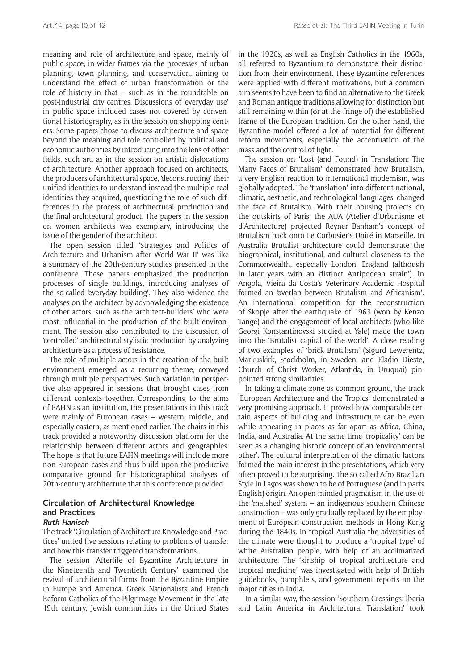meaning and role of architecture and space, mainly of public space, in wider frames via the processes of urban planning, town planning, and conservation, aiming to understand the effect of urban transformation or the role of history in that – such as in the roundtable on post-industrial city centres. Discussions of 'everyday use' in public space included cases not covered by conventional historiography, as in the session on shopping centers. Some papers chose to discuss architecture and space beyond the meaning and role controlled by political and economic authorities by introducing into the lens of other fields, such art, as in the session on artistic dislocations of architecture. Another approach focused on architects, the producers of architectural space, 'deconstructing' their unified identities to understand instead the multiple real identities they acquired, questioning the role of such differences in the process of architectural production and the final architectural product. The papers in the session on women architects was exemplary, introducing the issue of the gender of the architect.

The open session titled 'Strategies and Politics of Architecture and Urbanism after World War II' was like a summary of the 20th-century studies presented in the conference. These papers emphasized the production processes of single buildings, introducing analyses of the so-called 'everyday building'. They also widened the analyses on the architect by acknowledging the existence of other actors, such as the 'architect-builders' who were most influential in the production of the built environment. The session also contributed to the discussion of 'controlled' architectural stylistic production by analyzing architecture as a process of resistance.

The role of multiple actors in the creation of the built environment emerged as a recurring theme, conveyed through multiple perspectives. Such variation in perspective also appeared in sessions that brought cases from different contexts together. Corresponding to the aims of EAHN as an institution, the presentations in this track were mainly of European cases – western, middle, and especially eastern, as mentioned earlier. The chairs in this track provided a noteworthy discussion platform for the relationship between different actors and geographies. The hope is that future EAHN meetings will include more non-European cases and thus build upon the productive comparative ground for historiographical analyses of 20th-century architecture that this conference provided.

# **Circulation of Architectural Knowledge and Practices Ruth Hanisch**

The track 'Circulation of Architecture Knowledge and Practices' united five sessions relating to problems of transfer and how this transfer triggered transformations.

The session 'Afterlife of Byzantine Architecture in the Nineteenth and Twentieth Century' examined the revival of architectural forms from the Byzantine Empire in Europe and America. Greek Nationalists and French Reform-Catholics of the Pilgrimage Movement in the late 19th century, Jewish communities in the United States in the 1920s, as well as English Catholics in the 1960s, all referred to Byzantium to demonstrate their distinction from their environment. These Byzantine references were applied with different motivations, but a common aim seems to have been to find an alternative to the Greek and Roman antique traditions allowing for distinction but still remaining within (or at the fringe of) the established frame of the European tradition. On the other hand, the Byzantine model offered a lot of potential for different reform movements, especially the accentuation of the mass and the control of light.

The session on 'Lost (and Found) in Translation: The Many Faces of Brutalism' demonstrated how Brutalism, a very English reaction to international modernism, was globally adopted. The 'translation' into different national, climatic, aesthetic, and technological 'languages' changed the face of Brutalism. With their housing projects on the outskirts of Paris, the AUA (Atelier d'Urbanisme et d'Architecture) projected Reyner Banham's concept of Brutalism back onto Le Corbusier's Unité in Marseille. In Australia Brutalist architecture could demonstrate the biographical, institutional, and cultural closeness to the Commonwealth, especially London, England (although in later years with an 'distinct Antipodean strain'). In Angola, Vieira da Costa's Veterinary Academic Hospital formed an 'overlap between Brutalism and Africanism'. An international competition for the reconstruction of Skopje after the earthquake of 1963 (won by Kenzo Tange) and the engagement of local architects (who like Georgi Konstantinovski studied at Yale) made the town into the 'Brutalist capital of the world'. A close reading of two examples of 'brick Brutalism' (Sigurd Lewerentz, Markuskirk, Stockholm, in Sweden, and Eladio Dieste, Church of Christ Worker, Atlantida, in Uruquai) pinpointed strong similarities.

In taking a climate zone as common ground, the track 'European Architecture and the Tropics' demonstrated a very promising approach. It proved how comparable certain aspects of building and infrastructure can be even while appearing in places as far apart as Africa, China, India, and Australia. At the same time 'tropicality' can be seen as a changing historic concept of an 'environmental other'. The cultural interpretation of the climatic factors formed the main interest in the presentations, which very often proved to be surprising. The so-called Afro-Brazilian Style in Lagos was shown to be of Portuguese (and in parts English) origin. An open-minded pragmatism in the use of the 'matshed' system – an indigenous southern Chinese construction – was only gradually replaced by the employment of European construction methods in Hong Kong during the 1840s. In tropical Australia the adversities of the climate were thought to produce a 'tropical type' of white Australian people, with help of an acclimatized architecture. The 'kinship of tropical architecture and tropical medicine' was investigated with help of British guidebooks, pamphlets, and government reports on the major cities in India.

In a similar way, the session 'Southern Crossings: Iberia and Latin America in Architectural Translation' took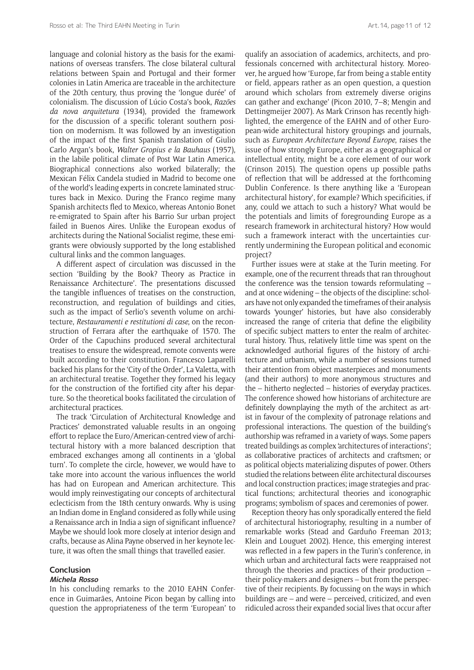language and colonial history as the basis for the examinations of overseas transfers. The close bilateral cultural relations between Spain and Portugal and their former colonies in Latin America are traceable in the architecture of the 20th century, thus proving the 'longue durée' of colonialism. The discussion of Lúcio Costa's book, *Razões da nova arquitetura* (1934), provided the framework for the discussion of a specific tolerant southern position on modernism. It was followed by an investigation of the impact of the first Spanish translation of Giulio Carlo Argan's book, *Walter Gropius e la Bauhaus* (1957), in the labile political climate of Post War Latin America. Biographical connections also worked bilaterally; the Mexican Félix Candela studied in Madrid to become one of the world's leading experts in concrete laminated structures back in Mexico. During the Franco regime many Spanish architects fled to Mexico, whereas Antonio Bonet re-emigrated to Spain after his Barrio Sur urban project failed in Buenos Aires. Unlike the European exodus of architects during the National Socialist regime, these emigrants were obviously supported by the long established cultural links and the common languages.

A different aspect of circulation was discussed in the section 'Building by the Book? Theory as Practice in Renaissance Architecture'. The presentations discussed the tangible influences of treatises on the construction, reconstruction, and regulation of buildings and cities, such as the impact of Serlio's seventh volume on architecture, *Restauramenti e restitutioni di case*, on the reconstruction of Ferrara after the earthquake of 1570. The Order of the Capuchins produced several architectural treatises to ensure the widespread, remote convents were built according to their constitution. Francesco Laparelli backed his plans for the 'City of the Order', La Valetta, with an architectural treatise. Together they formed his legacy for the construction of the fortified city after his departure. So the theoretical books facilitated the circulation of architectural practices.

The track 'Circulation of Architectural Knowledge and Practices' demonstrated valuable results in an ongoing effort to replace the Euro/American-centred view of architectural history with a more balanced description that embraced exchanges among all continents in a 'global turn'. To complete the circle, however, we would have to take more into account the various influences the world has had on European and American architecture. This would imply reinvestigating our concepts of architectural eclecticism from the 18th century onwards. Why is using an Indian dome in England considered as folly while using a Renaissance arch in India a sign of significant influence? Maybe we should look more closely at interior design and crafts, because as Alina Payne observed in her keynote lecture, it was often the small things that travelled easier.

# **Conclusion**

# **Michela Rosso**

In his concluding remarks to the 2010 EAHN Conference in Guimarães, Antoine Picon began by calling into question the appropriateness of the term 'European' to qualify an association of academics, architects, and professionals concerned with architectural history. Moreover, he argued how 'Europe, far from being a stable entity or field, appears rather as an open question, a question around which scholars from extremely diverse origins can gather and exchange' (Picon 2010, 7–8; Mengin and Dettingmeijer 2007). As Mark Crinson has recently highlighted, the emergence of the EAHN and of other European-wide architectural history groupings and journals, such as *[European Architecture Beyond Europe](http://dev.abejournal.eu)*, raises the issue of how strongly Europe, either as a geographical or intellectual entity, might be a core element of our work (Crinson 2015). The question opens up possible paths of reflection that will be addressed at the forthcoming Dublin Conference. Is there anything like a 'European architectural history', for example? Which specificities, if any, could we attach to such a history? What would be the potentials and limits of foregrounding Europe as a research framework in architectural history? How would such a framework interact with the uncertainties currently undermining the European political and economic project?

Further issues were at stake at the Turin meeting. For example, one of the recurrent threads that ran throughout the conference was the tension towards reformulating – and at once widening – the objects of the discipline: scholars have not only expanded the timeframes of their analysis towards 'younger' histories, but have also considerably increased the range of criteria that define the eligibility of specific subject matters to enter the realm of architectural history. Thus, relatively little time was spent on the acknowledged authorial figures of the history of architecture and urbanism, while a number of sessions turned their attention from object masterpieces and monuments (and their authors) to more anonymous structures and the – hitherto neglected – histories of everyday practices. The conference showed how historians of architecture are definitely downplaying the myth of the architect as artist in favour of the complexity of patronage relations and professional interactions. The question of the building's authorship was reframed in a variety of ways. Some papers treated buildings as complex 'architectures of interactions'; as collaborative practices of architects and craftsmen; or as political objects materializing disputes of power. Others studied the relations between élite architectural discourses and local construction practices; image strategies and practical functions; architectural theories and iconographic programs; symbolism of spaces and ceremonies of power.

Reception theory has only sporadically entered the field of architectural historiography, resulting in a number of remarkable works (Stead and Garduño Freeman 2013; Klein and Louguet 2002). Hence, this emerging interest was reflected in a few papers in the Turin's conference, in which urban and architectural facts were reappraised not through the theories and practices of their production – their policy-makers and designers – but from the perspective of their recipients. By focussing on the ways in which buildings are – and were – perceived, criticized, and even ridiculed across their expanded social lives that occur after